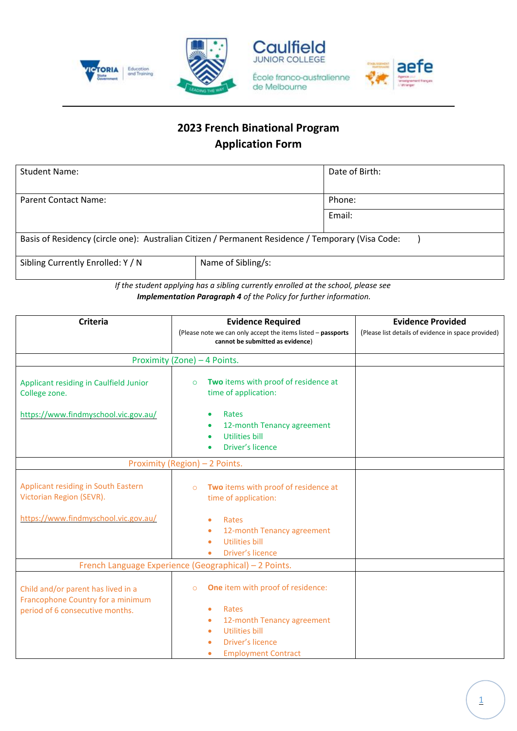

## **2023 French Binational Program Application Form**

| <b>Student Name:</b>                                                                              |                    | Date of Birth: |  |  |
|---------------------------------------------------------------------------------------------------|--------------------|----------------|--|--|
|                                                                                                   |                    |                |  |  |
| Parent Contact Name:                                                                              |                    | Phone:         |  |  |
|                                                                                                   |                    | Email:         |  |  |
|                                                                                                   |                    |                |  |  |
| Basis of Residency (circle one): Australian Citizen / Permanent Residence / Temporary (Visa Code: |                    |                |  |  |
| Sibling Currently Enrolled: Y / N                                                                 | Name of Sibling/s: |                |  |  |

*If the student applying has a sibling currently enrolled at the school, please see Implementation Paragraph 4 of the Policy for further information.*

| <b>Criteria</b>                                                                                            | <b>Evidence Required</b>                                                                                     | <b>Evidence Provided</b>                            |
|------------------------------------------------------------------------------------------------------------|--------------------------------------------------------------------------------------------------------------|-----------------------------------------------------|
|                                                                                                            | (Please note we can only accept the items listed - passports<br>cannot be submitted as evidence)             | (Please list details of evidence in space provided) |
| Proximity (Zone) - 4 Points.                                                                               |                                                                                                              |                                                     |
| Applicant residing in Caulfield Junior<br>College zone.                                                    | Two items with proof of residence at<br>$\circ$<br>time of application:                                      |                                                     |
| https://www.findmyschool.vic.gov.au/                                                                       | Rates<br>12-month Tenancy agreement<br><b>Utilities bill</b><br>Driver's licence                             |                                                     |
| Proximity (Region) - 2 Points.                                                                             |                                                                                                              |                                                     |
| Applicant residing in South Eastern<br>Victorian Region (SEVR).                                            | Two items with proof of residence at<br>$\circ$<br>time of application:                                      |                                                     |
| https://www.findmyschool.vic.gov.au/                                                                       | Rates<br>12-month Tenancy agreement<br><b>Utilities bill</b><br>Driver's licence                             |                                                     |
| French Language Experience (Geographical) - 2 Points.                                                      |                                                                                                              |                                                     |
| Child and/or parent has lived in a<br>Francophone Country for a minimum<br>period of 6 consecutive months. | One item with proof of residence:<br>$\circ$<br>Rates<br>12-month Tenancy agreement<br><b>Utilities bill</b> |                                                     |
|                                                                                                            | Driver's licence<br><b>Employment Contract</b>                                                               |                                                     |